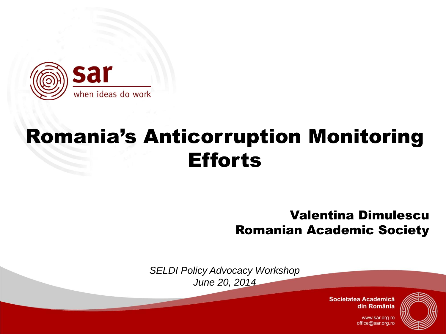

## Romania's Anticorruption Monitoring **Efforts**

Valentina Dimulescu Romanian Academic Society

*SELDI Policy Advocacy Workshop June 20, 2014*

> Societatea Academică din România



www.sar.org.ro office@sar.org.ro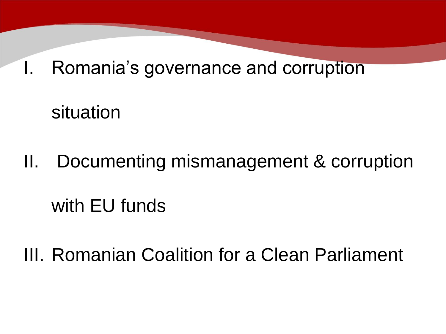I. Romania's governance and corruption

situation

II. Documenting mismanagement & corruption with EU funds

III. Romanian Coalition for a Clean Parliament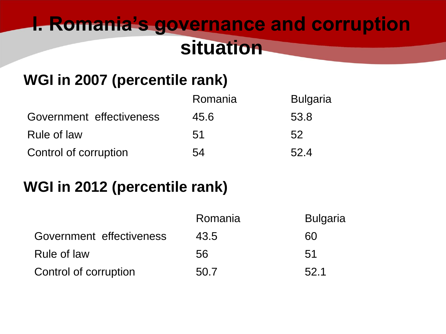### **I. Romania's governance and corruption situation**

#### **WGI in 2007 (percentile rank)**

|                          | Romania | <b>Bulgaria</b> |
|--------------------------|---------|-----------------|
| Government effectiveness | 45.6    | 53.8            |
| Rule of law              | 51      | 52              |
| Control of corruption    | 54      | 52.4            |

#### **WGI in 2012 (percentile rank)**

|                          | Romania | <b>Bulgaria</b> |
|--------------------------|---------|-----------------|
| Government effectiveness | 43.5    | 60              |
| Rule of law              | 56      | 51              |
| Control of corruption    | 50.7    | 52.1            |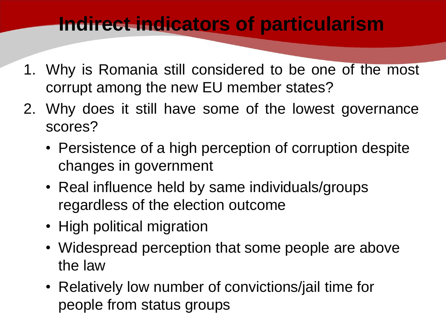### **Indirect indicators of particularism**

- 1. Why is Romania still considered to be one of the most corrupt among the new EU member states?
- 2. Why does it still have some of the lowest governance scores?
	- Persistence of a high perception of corruption despite changes in government
	- Real influence held by same individuals/groups regardless of the election outcome
	- High political migration
	- Widespread perception that some people are above the law
	- Relatively low number of convictions/jail time for people from status groups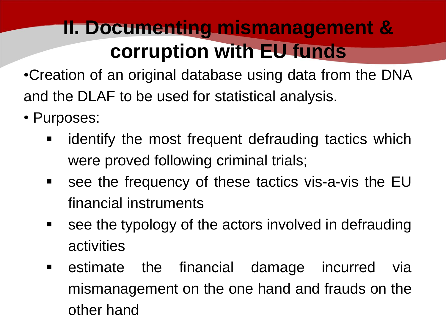### **II. Documenting mismanagement & corruption with EU funds**

•Creation of an original database using data from the DNA and the DLAF to be used for statistical analysis.

- Purposes:
	- **EXT** identify the most frequent defrauding tactics which were proved following criminal trials;
	- **See the frequency of these tactics vis-a-vis the EU** financial instruments
	- **See the typology of the actors involved in defrauding** activities
	- **Example 13 random** estimate the financial damage incurred via mismanagement on the one hand and frauds on the other hand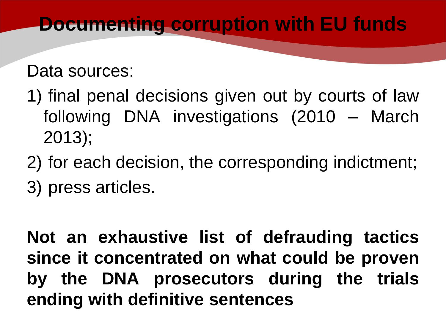### **Documenting corruption with EU funds**

#### Data sources:

- 1) final penal decisions given out by courts of law following DNA investigations (2010 – March 2013);
- 2) for each decision, the corresponding indictment;
- 3) press articles.

**Not an exhaustive list of defrauding tactics since it concentrated on what could be proven by the DNA prosecutors during the trials ending with definitive sentences**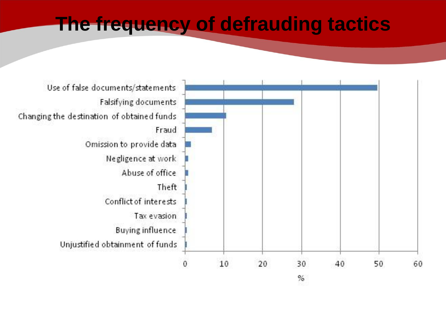#### **The frequency of defrauding tactics**

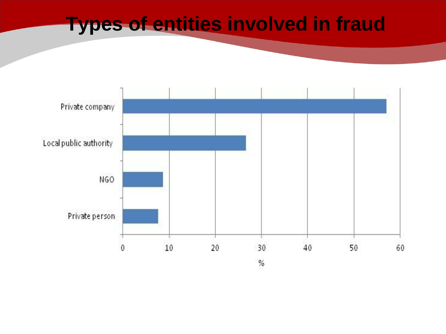#### **Types of entities involved in fraud**

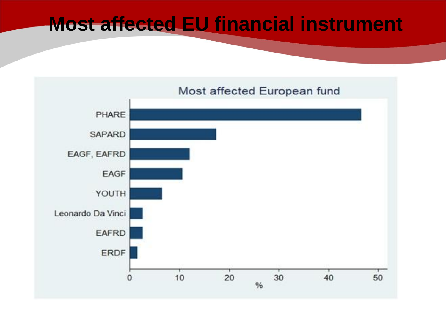#### **Most affected EU financial instrument**

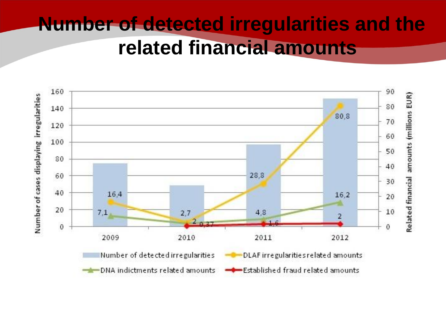### **Number of detected irregularities and the related financial amounts**

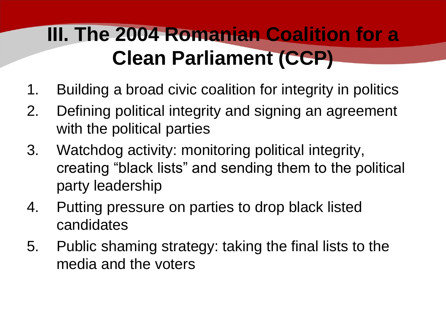## **III. The 2004 Romanian Coalition for a Clean Parliament (CCP)**

- 1. Building a broad civic coalition for integrity in politics
- 2. Defining political integrity and signing an agreement with the political parties
- 3. Watchdog activity: monitoring political integrity, creating "black lists" and sending them to the political party leadership
- 4. Putting pressure on parties to drop black listed candidates
- 5. Public shaming strategy: taking the final lists to the media and the voters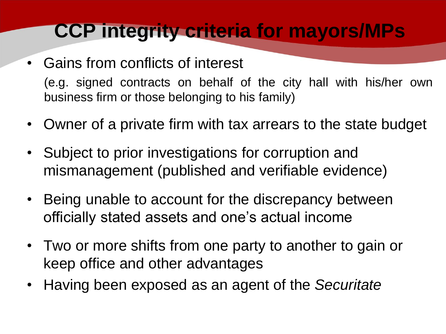### **CCP integrity criteria for mayors/MPs**

- Gains from conflicts of interest (e.g. signed contracts on behalf of the city hall with his/her own business firm or those belonging to his family)
- Owner of a private firm with tax arrears to the state budget
- Subject to prior investigations for corruption and mismanagement (published and verifiable evidence)
- Being unable to account for the discrepancy between officially stated assets and one's actual income
- Two or more shifts from one party to another to gain or keep office and other advantages
- Having been exposed as an agent of the *Securitate*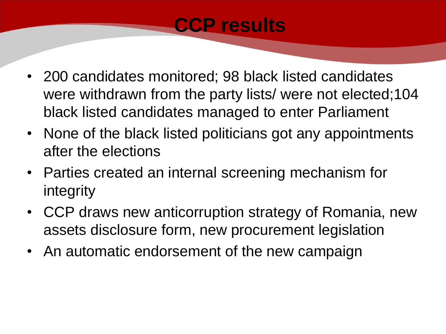### **CCP results**

- 200 candidates monitored; 98 black listed candidates were withdrawn from the party lists/ were not elected;104 black listed candidates managed to enter Parliament
- None of the black listed politicians got any appointments after the elections
- Parties created an internal screening mechanism for integrity
- CCP draws new anticorruption strategy of Romania, new assets disclosure form, new procurement legislation
- An automatic endorsement of the new campaign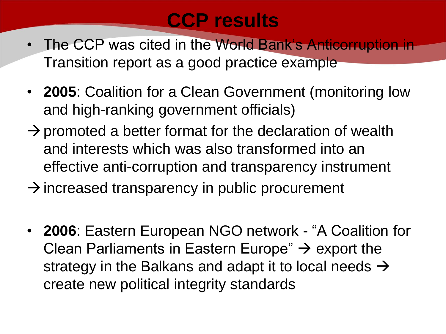### **CCP results**

- The CCP was cited in the World Bank's Anticorruption in Transition report as a good practice example
- **2005**: Coalition for a Clean Government (monitoring low and high-ranking government officials)
- $\rightarrow$  promoted a better format for the declaration of wealth and interests which was also transformed into an effective anti-corruption and transparency instrument
- $\rightarrow$  increased transparency in public procurement
- **2006**: Eastern European NGO network "A Coalition for Clean Parliaments in Eastern Europe"  $\rightarrow$  export the strategy in the Balkans and adapt it to local needs  $\rightarrow$ create new political integrity standards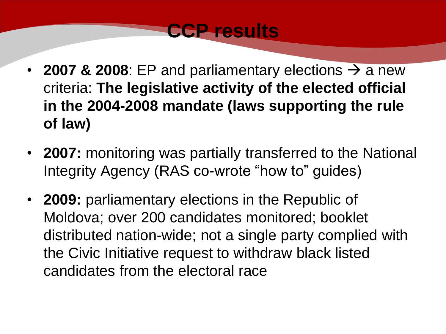

- **2007 & 2008**: EP and parliamentary elections  $\rightarrow$  a new criteria: **The legislative activity of the elected official in the 2004-2008 mandate (laws supporting the rule of law)**
- **2007:** monitoring was partially transferred to the National Integrity Agency (RAS co-wrote "how to" guides)
- **2009:** parliamentary elections in the Republic of Moldova; over 200 candidates monitored; booklet distributed nation-wide; not a single party complied with the Civic Initiative request to withdraw black listed candidates from the electoral race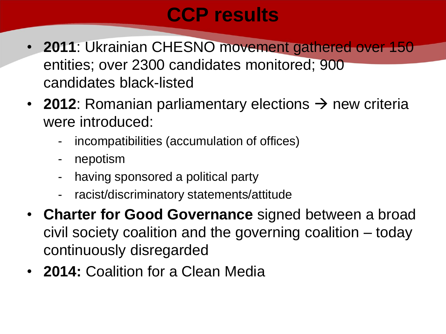### **CCP results**

- **2011**: Ukrainian CHESNO movement gathered over 150 entities; over 2300 candidates monitored; 900 candidates black-listed
- **2012**: Romanian parliamentary elections  $\rightarrow$  new criteria were introduced:
	- incompatibilities (accumulation of offices)
	- nepotism
	- having sponsored a political party
	- racist/discriminatory statements/attitude
- **Charter for Good Governance** signed between a broad civil society coalition and the governing coalition – today continuously disregarded
- **2014:** Coalition for a Clean Media